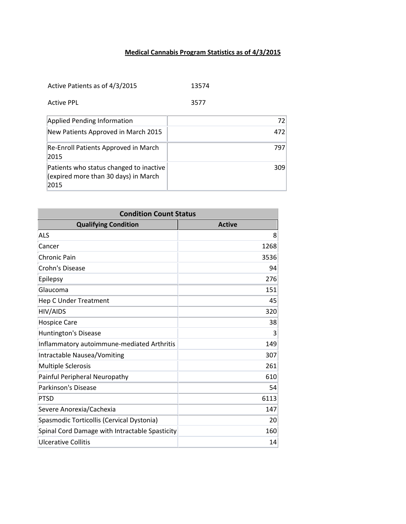## **Medical Cannabis Program Statistics as of 4/3/2015**

| Active Patients as of 4/3/2015 | 13574 |
|--------------------------------|-------|
|--------------------------------|-------|

| 3577 |
|------|
|      |

| Applied Pending Information                                                             | 72  |
|-----------------------------------------------------------------------------------------|-----|
| New Patients Approved in March 2015                                                     | 472 |
| Re-Enroll Patients Approved in March<br>2015                                            | 797 |
| Patients who status changed to inactive<br>(expired more than 30 days) in March<br>2015 | 309 |

| <b>Condition Count Status</b>                  |               |
|------------------------------------------------|---------------|
| <b>Qualifying Condition</b>                    | <b>Active</b> |
| <b>ALS</b>                                     | 8             |
| Cancer                                         | 1268          |
| Chronic Pain                                   | 3536          |
| Crohn's Disease                                | 94            |
| Epilepsy                                       | 276           |
| Glaucoma                                       | 151           |
| Hep C Under Treatment                          | 45            |
| <b>HIV/AIDS</b>                                | 320           |
| <b>Hospice Care</b>                            | 38            |
| <b>Huntington's Disease</b>                    | 3             |
| Inflammatory autoimmune-mediated Arthritis     | 149           |
| Intractable Nausea/Vomiting                    | 307           |
| <b>Multiple Sclerosis</b>                      | 261           |
| Painful Peripheral Neuropathy                  | 610           |
| Parkinson's Disease                            | 54            |
| PTSD                                           | 6113          |
| Severe Anorexia/Cachexia                       | 147           |
| Spasmodic Torticollis (Cervical Dystonia)      | 20            |
| Spinal Cord Damage with Intractable Spasticity | 160           |
| Ulcerative Collitis                            | 14            |